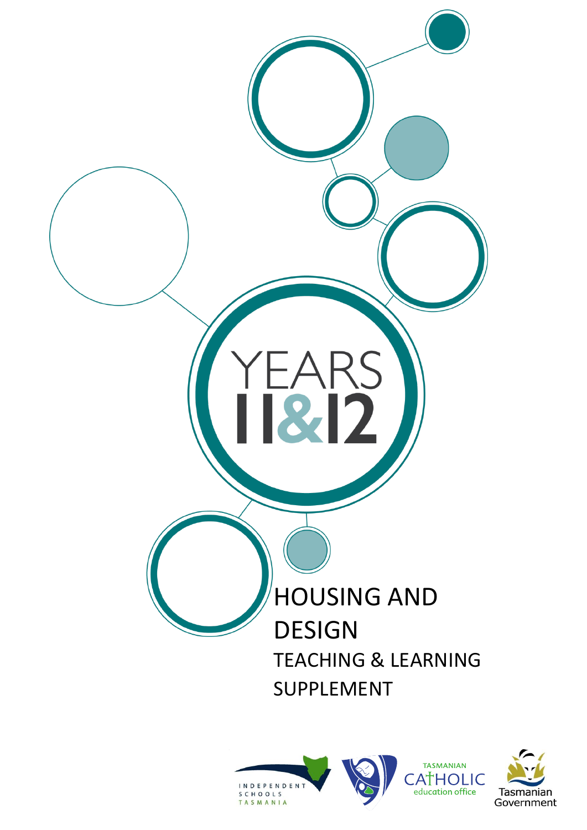

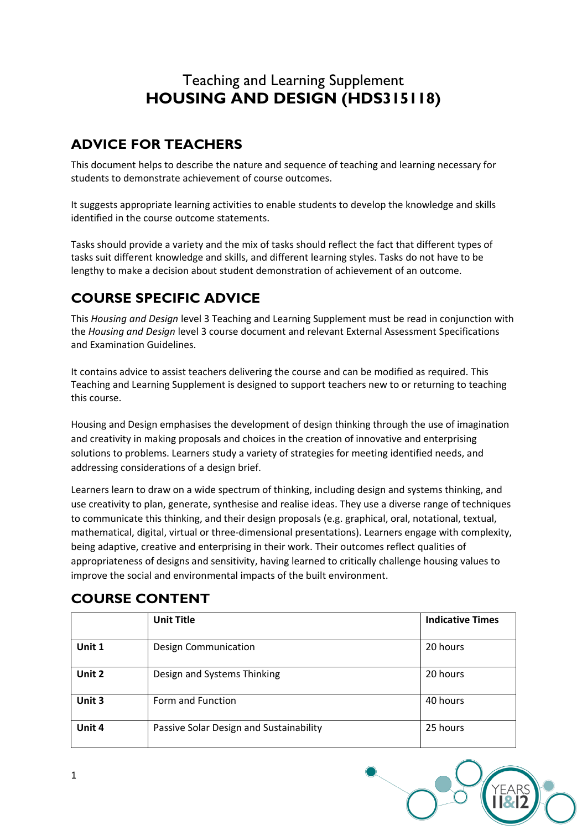# Teaching and Learning Supplement **HOUSING AND DESIGN (HDS315118)**

# **ADVICE FOR TEACHERS**

This document helps to describe the nature and sequence of teaching and learning necessary for students to demonstrate achievement of course outcomes.

It suggests appropriate learning activities to enable students to develop the knowledge and skills identified in the course outcome statements.

Tasks should provide a variety and the mix of tasks should reflect the fact that different types of tasks suit different knowledge and skills, and different learning styles. Tasks do not have to be lengthy to make a decision about student demonstration of achievement of an outcome.

# **COURSE SPECIFIC ADVICE**

This *Housing and Design* level 3 Teaching and Learning Supplement must be read in conjunction with the *Housing and Design* level 3 course document and relevant External Assessment Specifications and Examination Guidelines.

It contains advice to assist teachers delivering the course and can be modified as required. This Teaching and Learning Supplement is designed to support teachers new to or returning to teaching this course.

Housing and Design emphasises the development of design thinking through the use of imagination and creativity in making proposals and choices in the creation of innovative and enterprising solutions to problems. Learners study a variety of strategies for meeting identified needs, and addressing considerations of a design brief.

Learners learn to draw on a wide spectrum of thinking, including design and systems thinking, and use creativity to plan, generate, synthesise and realise ideas. They use a diverse range of techniques to communicate this thinking, and their design proposals (e.g. graphical, oral, notational, textual, mathematical, digital, virtual or three-dimensional presentations). Learners engage with complexity, being adaptive, creative and enterprising in their work. Their outcomes reflect qualities of appropriateness of designs and sensitivity, having learned to critically challenge housing values to improve the social and environmental impacts of the built environment.

|        | <b>Unit Title</b>                       | <b>Indicative Times</b> |
|--------|-----------------------------------------|-------------------------|
|        |                                         |                         |
| Unit 1 | <b>Design Communication</b>             | 20 hours                |
| Unit 2 | Design and Systems Thinking             | 20 hours                |
| Unit 3 | Form and Function                       | 40 hours                |
| Unit 4 | Passive Solar Design and Sustainability | 25 hours                |

# **COURSE CONTENT**

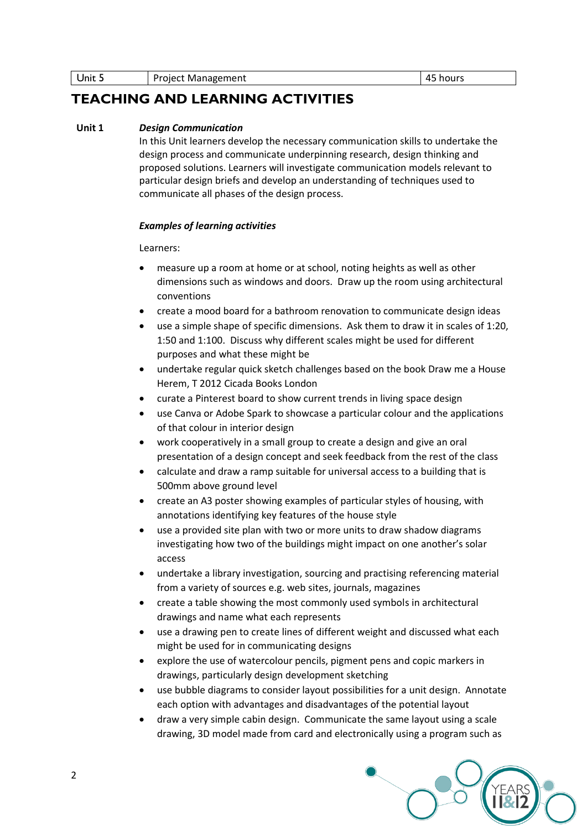Unit 5 Project Management 45 hours

## **TEACHING AND LEARNING ACTIVITIES**

### **Unit 1** *Design Communication*

In this Unit learners develop the necessary communication skills to undertake the design process and communicate underpinning research, design thinking and proposed solutions. Learners will investigate communication models relevant to particular design briefs and develop an understanding of techniques used to communicate all phases of the design process.

### *Examples of learning activities*

- measure up a room at home or at school, noting heights as well as other dimensions such as windows and doors. Draw up the room using architectural conventions
- create a mood board for a bathroom renovation to communicate design ideas
- use a simple shape of specific dimensions. Ask them to draw it in scales of 1:20, 1:50 and 1:100. Discuss why different scales might be used for different purposes and what these might be
- undertake regular quick sketch challenges based on the book Draw me a House Herem, T 2012 Cicada Books London
- curate a Pinterest board to show current trends in living space design
- use Canva or Adobe Spark to showcase a particular colour and the applications of that colour in interior design
- work cooperatively in a small group to create a design and give an oral presentation of a design concept and seek feedback from the rest of the class
- calculate and draw a ramp suitable for universal access to a building that is 500mm above ground level
- create an A3 poster showing examples of particular styles of housing, with annotations identifying key features of the house style
- use a provided site plan with two or more units to draw shadow diagrams investigating how two of the buildings might impact on one another's solar access
- undertake a library investigation, sourcing and practising referencing material from a variety of sources e.g. web sites, journals, magazines
- create a table showing the most commonly used symbols in architectural drawings and name what each represents
- use a drawing pen to create lines of different weight and discussed what each might be used for in communicating designs
- explore the use of watercolour pencils, pigment pens and copic markers in drawings, particularly design development sketching
- use bubble diagrams to consider layout possibilities for a unit design. Annotate each option with advantages and disadvantages of the potential layout
- draw a very simple cabin design. Communicate the same layout using a scale drawing, 3D model made from card and electronically using a program such as

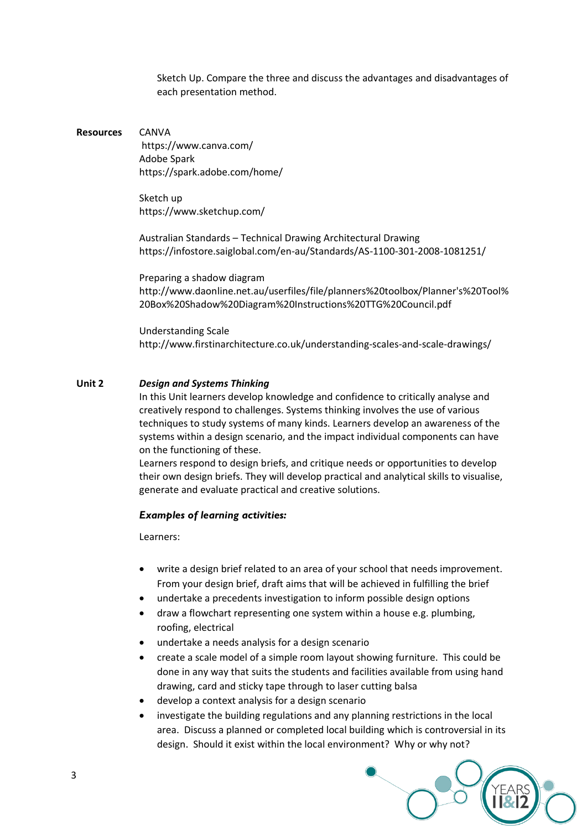Sketch Up. Compare the three and discuss the advantages and disadvantages of each presentation method.

#### **Resources** CANVA

<https://www.canva.com/> Adobe Spark <https://spark.adobe.com/home/>

Sketch up <https://www.sketchup.com/>

Australian Standards – Technical Drawing Architectural Drawing <https://infostore.saiglobal.com/en-au/Standards/AS-1100-301-2008-1081251/>

Preparing a shadow diagram [http://www.daonline.net.au/userfiles/file/planners%20toolbox/Planner's%20Tool%](http://www.daonline.net.au/userfiles/file/planners%20toolbox/Planner) [20Box%20Shadow%20Diagram%20Instructions%20TTG%20Council.pdf](http://www.daonline.net.au/userfiles/file/planners%20toolbox/Planner)

Understanding Scale <http://www.firstinarchitecture.co.uk/understanding-scales-and-scale-drawings/>

#### **Unit 2** *Design and Systems Thinking*

In this Unit learners develop knowledge and confidence to critically analyse and creatively respond to challenges. Systems thinking involves the use of various techniques to study systems of many kinds. Learners develop an awareness of the systems within a design scenario, and the impact individual components can have on the functioning of these.

Learners respond to design briefs, and critique needs or opportunities to develop their own design briefs. They will develop practical and analytical skills to visualise, generate and evaluate practical and creative solutions.

#### *Examples of learning activities:*

- write a design brief related to an area of your school that needs improvement. From your design brief, draft aims that will be achieved in fulfilling the brief
- undertake a precedents investigation to inform possible design options
- draw a flowchart representing one system within a house e.g. plumbing, roofing, electrical
- undertake a needs analysis for a design scenario
- create a scale model of a simple room layout showing furniture. This could be done in any way that suits the students and facilities available from using hand drawing, card and sticky tape through to laser cutting balsa
- develop a context analysis for a design scenario
- investigate the building regulations and any planning restrictions in the local area. Discuss a planned or completed local building which is controversial in its design. Should it exist within the local environment? Why or why not?

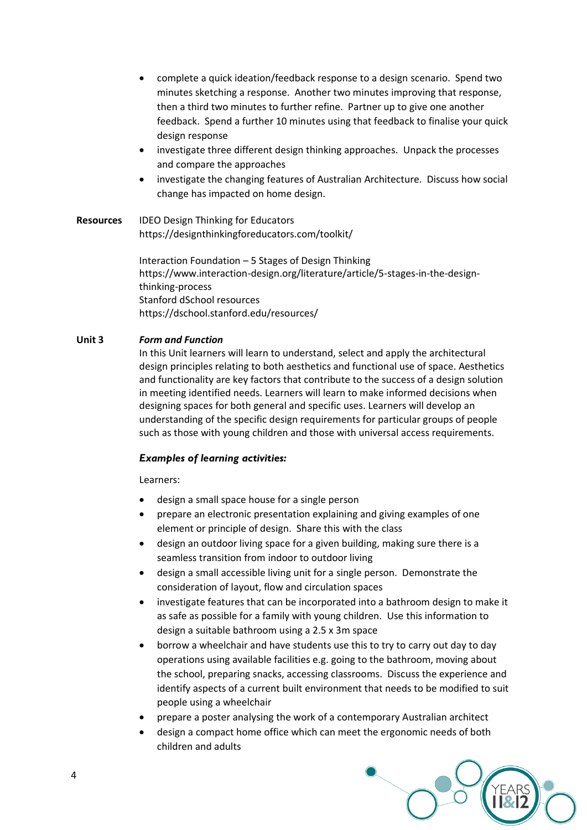- complete a quick ideation/feedback response to a design scenario. Spend two minutes sketching a response. Another two minutes improving that response, then a third two minutes to further refine. Partner up to give one another feedback. Spend a further 10 minutes using that feedback to finalise your quick design response
- investigate three different design thinking approaches. Unpack the processes and compare the approaches
- investigate the changing features of Australian Architecture. Discuss how social change has impacted on home design.
- **Resources** IDEO Design Thinking for Educators <https://designthinkingforeducators.com/toolkit/>

Interaction Foundation – 5 Stages of Design Thinking [https://www.interaction-design.org/literature/article/5-stages-in-the-design](https://www.interaction-design.org/literature/article/5-stages-in-the-design-thinking-process)[thinking-process](https://www.interaction-design.org/literature/article/5-stages-in-the-design-thinking-process) Stanford dSchool resources <https://dschool.stanford.edu/resources/>

### **Unit 3** *Form and Function*

In this Unit learners will learn to understand, select and apply the architectural design principles relating to both aesthetics and functional use of space. Aesthetics and functionality are key factors that contribute to the success of a design solution in meeting identified needs. Learners will learn to make informed decisions when designing spaces for both general and specific uses. Learners will develop an understanding of the specific design requirements for particular groups of people such as those with young children and those with universal access requirements.

### *Examples of learning activities:*

- design a small space house for a single person
- prepare an electronic presentation explaining and giving examples of one element or principle of design. Share this with the class
- design an outdoor living space for a given building, making sure there is a seamless transition from indoor to outdoor living
- design a small accessible living unit for a single person. Demonstrate the consideration of layout, flow and circulation spaces
- investigate features that can be incorporated into a bathroom design to make it as safe as possible for a family with young children. Use this information to design a suitable bathroom using a 2.5 x 3m space
- borrow a wheelchair and have students use this to try to carry out day to day operations using available facilities e.g. going to the bathroom, moving about the school, preparing snacks, accessing classrooms. Discuss the experience and identify aspects of a current built environment that needs to be modified to suit people using a wheelchair
- prepare a poster analysing the work of a contemporary Australian architect
- design a compact home office which can meet the ergonomic needs of both children and adults

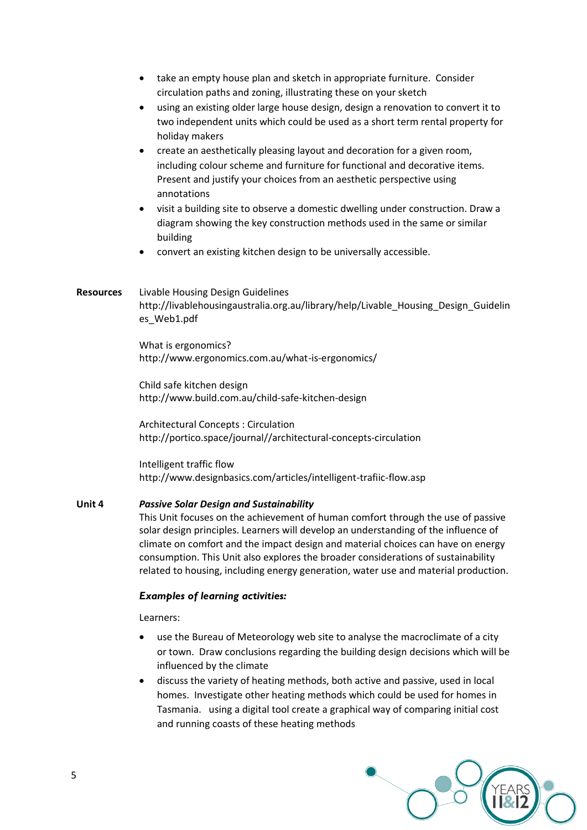- take an empty house plan and sketch in appropriate furniture. Consider circulation paths and zoning, illustrating these on your sketch
- using an existing older large house design, design a renovation to convert it to two independent units which could be used as a short term rental property for holiday makers
- create an aesthetically pleasing layout and decoration for a given room, including colour scheme and furniture for functional and decorative items. Present and justify your choices from an aesthetic perspective using annotations
- visit a building site to observe a domestic dwelling under construction. Draw a diagram showing the key construction methods used in the same or similar building
- convert an existing kitchen design to be universally accessible.

## **Resources** Livable Housing Design Guidelines [http://livablehousingaustralia.org.au/library/help/Livable\\_Housing\\_Design\\_Guidelin](http://livablehousingaustralia.org.au/library/help/Livable_Housing_Design_Guidelines_Web1.pdf) [es\\_Web1.pdf](http://livablehousingaustralia.org.au/library/help/Livable_Housing_Design_Guidelines_Web1.pdf)

What is ergonomics? <http://www.ergonomics.com.au/what-is-ergonomics/>

Child safe kitchen design <http://www.build.com.au/child-safe-kitchen-design>

Architectural Concepts : Circulation [http://portico.space/journal//architectural-concepts-circulation](http://portico.space/journal/architectural-concepts-circulation)

Intelligent traffic flow <http://www.designbasics.com/articles/intelligent-trafiic-flow.asp>

### **Unit 4** *Passive Solar Design and Sustainability*

This Unit focuses on the achievement of human comfort through the use of passive solar design principles. Learners will develop an understanding of the influence of climate on comfort and the impact design and material choices can have on energy consumption. This Unit also explores the broader considerations of sustainability related to housing, including energy generation, water use and material production.

### *Examples of learning activities:*

- use the Bureau of Meteorology web site to analyse the macroclimate of a city or town. Draw conclusions regarding the building design decisions which will be influenced by the climate
- discuss the variety of heating methods, both active and passive, used in local homes. Investigate other heating methods which could be used for homes in Tasmania. using a digital tool create a graphical way of comparing initial cost and running coasts of these heating methods

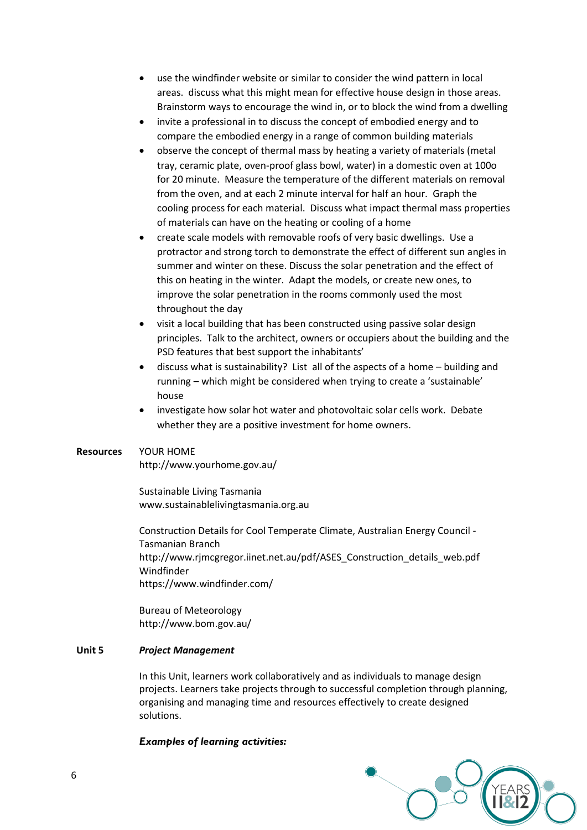- use the windfinder website or similar to consider the wind pattern in local areas. discuss what this might mean for effective house design in those areas. Brainstorm ways to encourage the wind in, or to block the wind from a dwelling
- invite a professional in to discuss the concept of embodied energy and to compare the embodied energy in a range of common building materials
- observe the concept of thermal mass by heating a variety of materials (metal tray, ceramic plate, oven-proof glass bowl, water) in a domestic oven at 100o for 20 minute. Measure the temperature of the different materials on removal from the oven, and at each 2 minute interval for half an hour. Graph the cooling process for each material. Discuss what impact thermal mass properties of materials can have on the heating or cooling of a home
- create scale models with removable roofs of very basic dwellings. Use a protractor and strong torch to demonstrate the effect of different sun angles in summer and winter on these. Discuss the solar penetration and the effect of this on heating in the winter. Adapt the models, or create new ones, to improve the solar penetration in the rooms commonly used the most throughout the day
- visit a local building that has been constructed using passive solar design principles. Talk to the architect, owners or occupiers about the building and the PSD features that best support the inhabitants'
- discuss what is sustainability? List all of the aspects of a home building and running – which might be considered when trying to create a 'sustainable' house
- investigate how solar hot water and photovoltaic solar cells work. Debate whether they are a positive investment for home owners.

### **Resources** YOUR HOME

<http://www.yourhome.gov.au/>

Sustainable Living Tasmania [www.sustainablelivingtasmania.org.au](http://www.sustainablelivingtasmania.org.au/)

Construction Details for Cool Temperate Climate, Australian Energy Council - Tasmanian Branch [http://www.rjmcgregor.iinet.net.au/pdf/ASES\\_Construction\\_details\\_web.pdf](http://www.rjmcgregor.iinet.net.au/pdf/ASES_Construction_details_web.pdf)  Windfinder <https://www.windfinder.com/>

Bureau of Meteorology <http://www.bom.gov.au/>

#### **Unit 5** *Project Management*

In this Unit, learners work collaboratively and as individuals to manage design projects. Learners take projects through to successful completion through planning, organising and managing time and resources effectively to create designed solutions.

#### *Examples of learning activities:*

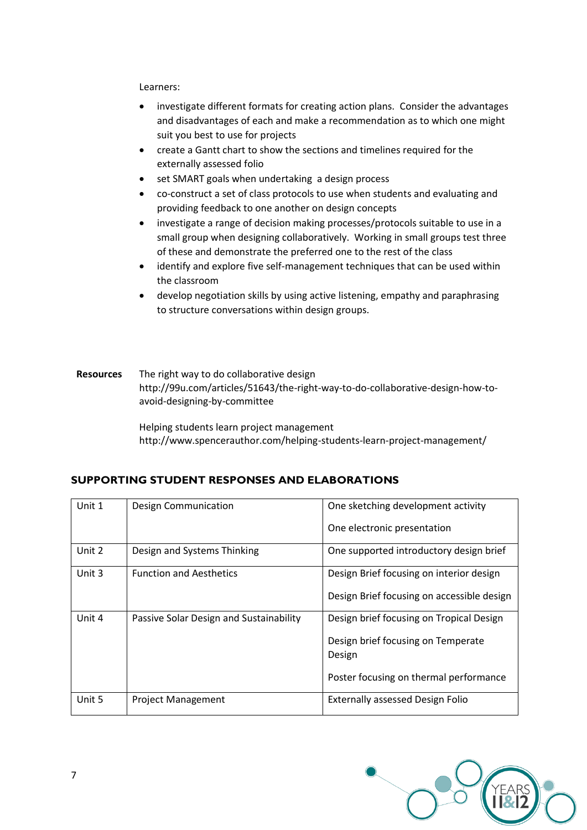Learners:

- investigate different formats for creating action plans. Consider the advantages and disadvantages of each and make a recommendation as to which one might suit you best to use for projects
- create a Gantt chart to show the sections and timelines required for the externally assessed folio
- set SMART goals when undertaking a design process
- co-construct a set of class protocols to use when students and evaluating and providing feedback to one another on design concepts
- investigate a range of decision making processes/protocols suitable to use in a small group when designing collaboratively. Working in small groups test three of these and demonstrate the preferred one to the rest of the class
- identify and explore five self-management techniques that can be used within the classroom
- develop negotiation skills by using active listening, empathy and paraphrasing to structure conversations within design groups.
- **Resources** The right way to do collaborative design [http://99u.com/articles/51643/the-right-way-to-do-collaborative-design-how-to](http://99u.com/articles/51643/the-right-way-to-do-collaborative-design-how-to-avoid-designing-by-committee)[avoid-designing-by-committee](http://99u.com/articles/51643/the-right-way-to-do-collaborative-design-how-to-avoid-designing-by-committee)

Helping students learn project management <http://www.spencerauthor.com/helping-students-learn-project-management/>

| <b>SUPPORTING STUDENT RESPONSES AND ELABORATIONS</b> |  |  |  |
|------------------------------------------------------|--|--|--|
|                                                      |  |  |  |

| Unit 1 | Design Communication                    | One sketching development activity         |
|--------|-----------------------------------------|--------------------------------------------|
|        |                                         | One electronic presentation                |
| Unit 2 | Design and Systems Thinking             | One supported introductory design brief    |
| Unit 3 | <b>Function and Aesthetics</b>          | Design Brief focusing on interior design   |
|        |                                         | Design Brief focusing on accessible design |
| Unit 4 | Passive Solar Design and Sustainability | Design brief focusing on Tropical Design   |
|        |                                         | Design brief focusing on Temperate         |
|        |                                         | Design                                     |
|        |                                         | Poster focusing on thermal performance     |
| Unit 5 | <b>Project Management</b>               | <b>Externally assessed Design Folio</b>    |